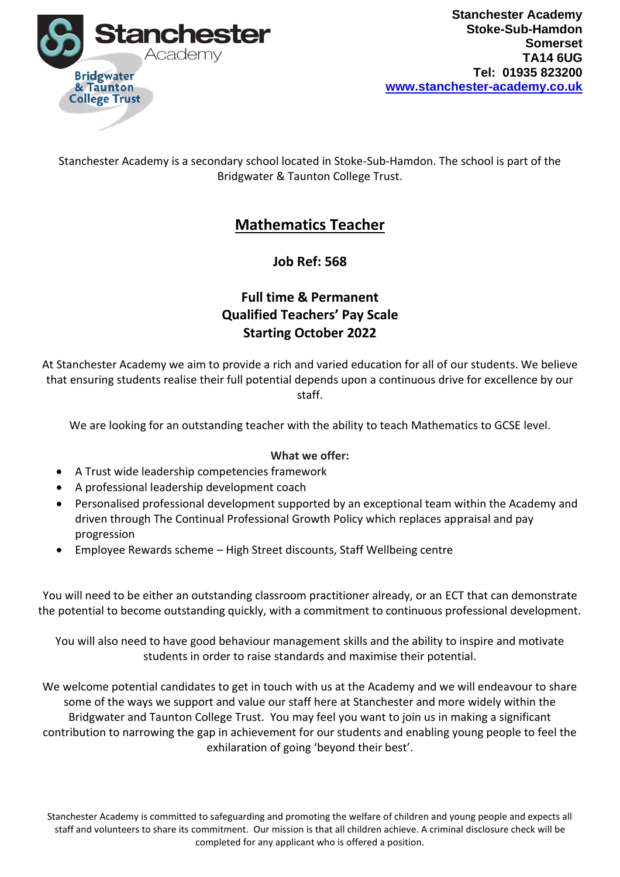

Stanchester Academy is a secondary school located in Stoke-Sub-Hamdon. The school is part of the Bridgwater & Taunton College Trust.

## **Mathematics Teacher**

**Job Ref: 568**

## **Full time & Permanent Qualified Teachers' Pay Scale Starting October 2022**

At Stanchester Academy we aim to provide a rich and varied education for all of our students. We believe that ensuring students realise their full potential depends upon a continuous drive for excellence by our staff.

We are looking for an outstanding teacher with the ability to teach Mathematics to GCSE level.

## **What we offer:**

- A Trust wide leadership competencies framework
- A professional leadership development coach
- Personalised professional development supported by an exceptional team within the Academy and driven through The Continual Professional Growth Policy which replaces appraisal and pay progression
- Employee Rewards scheme High Street discounts, Staff Wellbeing centre

You will need to be either an outstanding classroom practitioner already, or an ECT that can demonstrate the potential to become outstanding quickly, with a commitment to continuous professional development.

You will also need to have good behaviour management skills and the ability to inspire and motivate students in order to raise standards and maximise their potential.

We welcome potential candidates to get in touch with us at the Academy and we will endeavour to share some of the ways we support and value our staff here at Stanchester and more widely within the Bridgwater and Taunton College Trust. You may feel you want to join us in making a significant contribution to narrowing the gap in achievement for our students and enabling young people to feel the exhilaration of going 'beyond their best'.

Stanchester Academy is committed to safeguarding and promoting the welfare of children and young people and expects all staff and volunteers to share its commitment. Our mission is that all children achieve. A criminal disclosure check will be completed for any applicant who is offered a position.